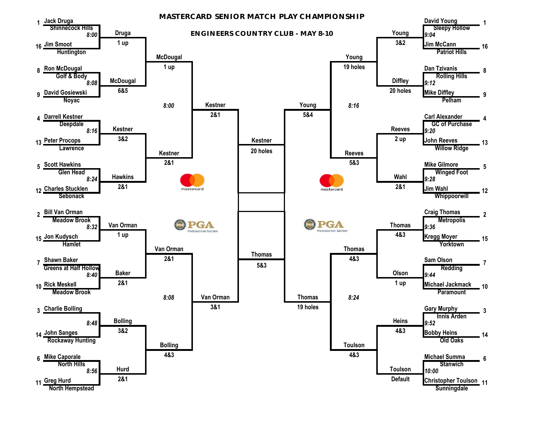